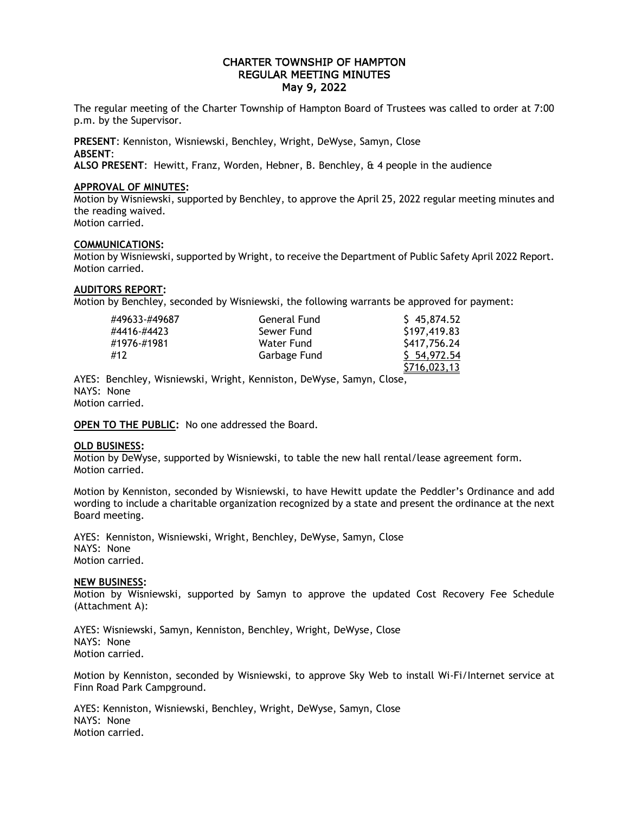# CHARTER TOWNSHIP OF HAMPTON REGULAR MEETING MINUTES May 9, 2022

The regular meeting of the Charter Township of Hampton Board of Trustees was called to order at 7:00 p.m. by the Supervisor.

**PRESENT**: Kenniston, Wisniewski, Benchley, Wright, DeWyse, Samyn, Close **ABSENT**:

**ALSO PRESENT**: Hewitt, Franz, Worden, Hebner, B. Benchley, & 4 people in the audience

## **APPROVAL OF MINUTES:**

Motion by Wisniewski, supported by Benchley, to approve the April 25, 2022 regular meeting minutes and the reading waived. Motion carried.

## **COMMUNICATIONS:**

Motion by Wisniewski, supported by Wright, to receive the Department of Public Safety April 2022 Report. Motion carried.

## **AUDITORS REPORT:**

Motion by Benchley, seconded by Wisniewski, the following warrants be approved for payment:

| #49633-#49687 | General Fund | \$45,874.52  |
|---------------|--------------|--------------|
| #4416-#4423   | Sewer Fund   | \$197,419.83 |
| #1976-#1981   | Water Fund   | \$417,756.24 |
| #12           | Garbage Fund | \$54,972.54  |
|               |              | \$716,023,13 |

AYES: Benchley, Wisniewski, Wright, Kenniston, DeWyse, Samyn, Close, NAYS: None Motion carried.

**OPEN TO THE PUBLIC:** No one addressed the Board.

#### **OLD BUSINESS:**

Motion by DeWyse, supported by Wisniewski, to table the new hall rental/lease agreement form. Motion carried.

Motion by Kenniston, seconded by Wisniewski, to have Hewitt update the Peddler's Ordinance and add wording to include a charitable organization recognized by a state and present the ordinance at the next Board meeting.

AYES: Kenniston, Wisniewski, Wright, Benchley, DeWyse, Samyn, Close NAYS: None Motion carried.

#### **NEW BUSINESS:**

Motion by Wisniewski, supported by Samyn to approve the updated Cost Recovery Fee Schedule (Attachment A):

AYES: Wisniewski, Samyn, Kenniston, Benchley, Wright, DeWyse, Close NAYS: None Motion carried.

Motion by Kenniston, seconded by Wisniewski, to approve Sky Web to install Wi-Fi/Internet service at Finn Road Park Campground.

AYES: Kenniston, Wisniewski, Benchley, Wright, DeWyse, Samyn, Close NAYS: None Motion carried.